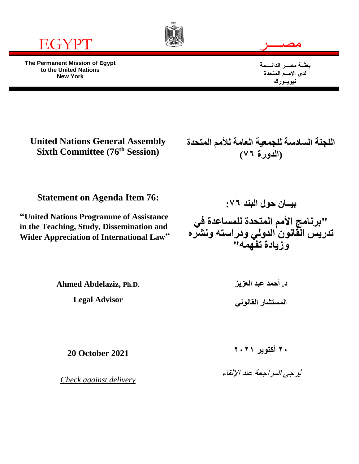

**The Permanent Mission of Egypt to the United Nations New York**



$$
\overline{\phantom{m}}
$$

**بعثــة مصــر الدائــــمة لدى االمــم المتحدة نيويــورك**

**United Nations General Assembly Sixth Committee (76th Session)**

**اللجنة السادسة للجمعية العامة لألمم المتحدة )الدورة 76(**

**Statement on Agenda Item 76:**

**"United Nations Programme of Assistance in the Teaching, Study, Dissemination and Wider Appreciation of International Law"**

**بيــان حول البند :76 "برنامج األمم المتحدة للمساعدة في تدريس القانون الدولي ودراسته ونشره وزيادة تفهمه"**

**Ahmed Abdelaziz, Ph.D.**

**Legal Advisor**

**د. أحمد عبد العزيز المستشار القانوني**

**20 October 2021**

*Check against delivery*

**20 أكتوبر 2021**

يُرجى المراجعة عند اإللقاء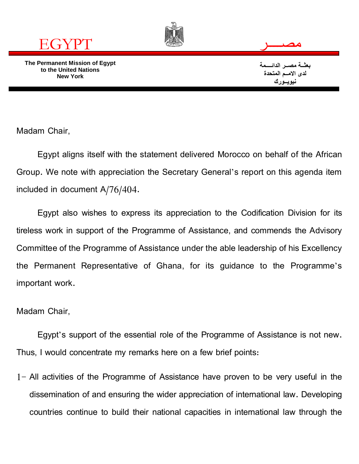

**The Permanent Mission of Egypt to the United Nations New York**



**بعثــة مصــر الدائــــمة لدى االمــم المتحدة نيويــورك**

Madam Chair,

Egypt aligns itself with the statement delivered Morocco on behalf of the African Group. We note with appreciation the Secretary General's report on this agenda item included in document A/76/404.

Egypt also wishes to express its appreciation to the Codification Division for its tireless work in support of the Programme of Assistance, and commends the Advisory Committee of the Programme of Assistance under the able leadership of his Excellency the Permanent Representative of Ghana, for its guidance to the Programme's important work.

Madam Chair,

Egypt's support of the essential role of the Programme of Assistance is not new. Thus, I would concentrate my remarks here on a few brief points:

1- All activities of the Programme of Assistance have proven to be very useful in the dissemination of and ensuring the wider appreciation of international law. Developing countries continue to build their national capacities in international law through the